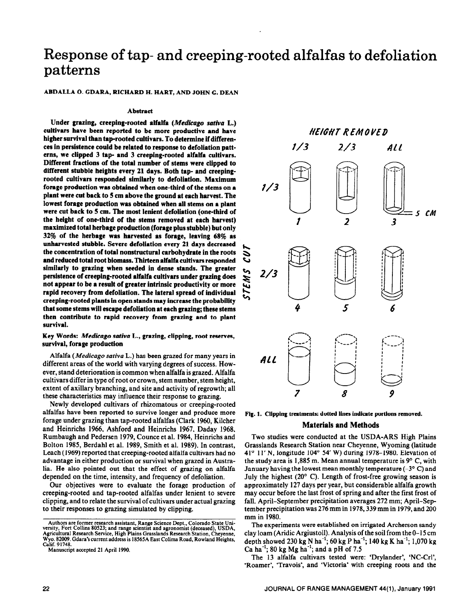# Response of tap- and creeping-rooted alfalfas to defoliation patterns

ABDALLA 0. CDARA, RICHARD H. HART, AND JOHN G. DEAN

#### **Abstract**

Under grazing, creeping-rooted alfalfa (Medicago sativa L.) **cultivars have been reported to be more productive and have**  higher survival than tap-rooted cultivars. To determine if differen**ces in persistence could be related to response to defoliation patterns, we clipped 3 tap- and 3 creeping-rooted alfalfa cultivars. Different fractions of the total number of stems were clipped to different stubble heights every 21 days. Both tap- and creepingrooted cultivars responded similarly to defoliation. Maximum forage production was obtained when one-third of the stems on a plant were cut back to 5 cm above the ground at each harvest. The lowest forage production was obtained when all stems on a plant were cut back to 5 cm. The most lenient defoliation (one-third of the height of oncthird of the stems removed at each harvest) maximized total herbage production (forage plus stubble) but only 32% of the herbage was harvested as forage, leaving 68% as unharvested stubble. Severe defoliation every 21 days decreased the concentration of total nonstructural carbohydrate in the roots and reduced total root biomass. Thirteen alfalfa cultivars responded similarly to grazing when seeded in dense stands. The greater persistence of creeping-rooted alfalfa cultivars under grazing does not appear to be a result of greater intrinsic productivity or more rapid recovery from defoliation. The lateral spread of individual creeping-rooted plants in open stands may increase the probability that some stems will escape defoliation at each grazing; these stems then contribute to rapid recovery from grazing and to plant survival.** 

**Key Words:** *Medicugo sativa* **L., grazing, clipping, root reserves, survival, forage production** 

Alfalfa *(Medicago saliva* L.) has been grazed for many years in different areas of the world with varying degrees of success. However, stand deterioration is common when alfalfa is grazed. Alfalfa cultivars differ in type of root or crown, stem number, stem height, extent of axillary branching, and site and activity of regrowth; all these characteristics may influence their response to grazing.

Newly developed cultivars of rhizomatous or creeping-rooted alfalfas have been reported to survive longer and produce more forage under grazing than tap-rooted alfalfas (Clark 1960, Kilcher and Heim-ichs 1966, Ashford and Heinrichs 1967, Daday 1968, Rumbaugh and Pedersen 1979, Counce et al. 1984, Heinrichs and Bolton 1985, Berdahl et al. 1989, Smith et al. 1989). In contrast, Leach (1969) reported that creeping-rooted alfalfa cultivars had no advantage in either production or survival when grazed in Australia. He also pointed out that the effect of grazing on alfalfa depended on the time, intensity, and frequency of defoliation.

Our objectives were to evaluate the forage production of creeping-rooted and tap-rooted alfalfas under lenient to severe clipping, and to relate the survival of cultivars under actual grazing to their responses to grazing simulated by clipping.



**Fig. 1. Clipping treatments: dotted lines indicate portions removed.** 

#### **Materials and Methods**

Two studies were conducted at the USDA-ARS High Plains Grasslands Research Station near Cheyenne, Wyoming (latitude 41° 11' N, longitude 104' 54' W) during 1978-1980. Elevation of the study area is 1,885 m. Mean annual temperature is  $9^{\circ}$  C, with January having the lowest mean monthly temperature  $(-3^{\circ} \text{ C})$  and July the highest  $(20^{\circ}$  C). Length of frost-free growing season is approximately 127 days per year, but considerable alfalfa growth may occur before the last frost of spring and after the first frost of fall. April-September precipitation averages 272 mm; April-September precipitation was 276 mm in 1978,339 mm in 1979, and 200 mm in 1980.

The experiments were established on irrigated Archerson sandy clay loam (Aridic Argiustoil). Analysis of the soil from the 0- 15 cm depth showed 230 kg N ha<sup>-1</sup>; 60 kg P ha<sup>-1</sup>; 140 kg K ha<sup>-1</sup>; 1,070 kg Ca ha<sup>-1</sup>; 80 kg Mg ha<sup>-1</sup>; and a pH of 7.5

The 13 alfalfa cultivars tested were: 'Drylander', 'NC-Crl', 'Roamer', 'Travois', and 'Victoria' with creeping roots and the

Authors are tormer research assistant, Kange Science Dept., Colorado State Uni-<br>versity, Fort Collins 80523; and range scientist and agronomist (deceased), USDA,<br>Agricultural Research Service, High Plains Grasslands Resear **Wyo. 82009. Gdara's current address is 18565A East Colima Road, Rowland Heights, Calif. 9 1748.** 

**Manuscript accepted 21 April 1990.**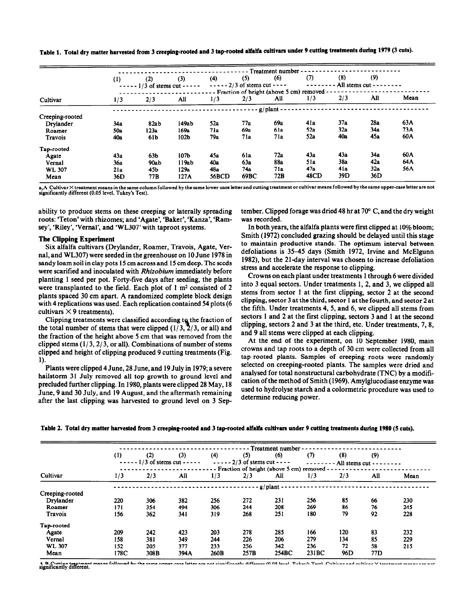|                 | - Treatment number |                              |                  |       |                              |              |                                           |                               |     |      |  |
|-----------------|--------------------|------------------------------|------------------|-------|------------------------------|--------------|-------------------------------------------|-------------------------------|-----|------|--|
|                 | (1)                | (2)                          | (3)              | (4)   | (5)                          | (6)          | (7)                                       | (8)                           | (9) |      |  |
|                 |                    | $--- 1/3$ of stems cut $---$ |                  |       | $--- 2/3$ of stems cut $---$ |              |                                           | - All stems cut - -<br>------ |     |      |  |
|                 |                    |                              |                  |       |                              |              | Fraction of height (above 5 cm) removed - |                               |     |      |  |
| Cultivar        | 1/3                | 2/3                          | All              | 1/3   | 2/3                          | All          | 1/3                                       | 2/3                           | All | Mean |  |
|                 |                    |                              |                  |       |                              | $g$ /plant - |                                           |                               |     |      |  |
| Creeping-rooted |                    |                              |                  |       |                              |              |                                           |                               |     |      |  |
| Drylander       | 34a                | 82ab                         | 149ab            | 52a   | 77a                          | 69a          | 41a                                       | 37a                           | 28a | 63A  |  |
| Roamer          | 50a                | 123a                         | 169а             | 71a   | 69a                          | 61a          | 52a                                       | 32a                           | 34a | 73A  |  |
| Travois         | 40a                | 61b                          | 102b             | 79a   | 71a                          | 71a          | 52a                                       | 40a                           | 45a | 60A  |  |
| Tap-rooted      |                    |                              |                  |       |                              |              |                                           |                               |     |      |  |
| Agate           | 43a                | 63 <sub>b</sub>              | 107 <sub>b</sub> | 45a   | 6la                          | 72a          | 43а                                       | 43a                           | 34a | 60A  |  |
| Vernal          | 36a                | 90ab                         | 119ab            | 40a   | 63а                          | 88a          | 51a                                       | 38a                           | 42a | 64A  |  |
| <b>WL 307</b>   | 21a                | 45b                          | 129a             | 48a   | 74a                          | 71a          | 47a                                       | 4la                           | 32a | 56A  |  |
| Mean            | 36D                | 77B                          | 127A             | 56BCD | 69BC                         | 72B          | 48CD                                      | 39D                           | 36D |      |  |

**Table 1. Total dry matter harvested from 3 creeping-rooted and 3 tap-rooted alfalfa cultivars under 9 cutting treatments during 1979 (3 cuts).** 

aJA **Cultivar X** treatment **means in the same column followed by the same lower-case** letter and **cutting treatment or cultivar means followed by the same upper-case letter are not**   $significantly different (0.05 level, Tukey's Test).$ 

ability to produce stems on these creeping or laterally spreading roots: 'Teton' with rhizomes; and 'Agate', 'Baker', 'Kanza', 'Ramsey', 'Riley', 'Vernal', and 'WL307' with taproot systems.

#### **The Clipping Experiment**

Six alfalfa cultivars (Drylander, Roamer, Travois, Agate, Vernal, and WL307) were seeded in the greenhouse on 10 June 1978 in sandy loam soil in clay pots 15 cm across and 15 cm deep. The seeds were scarified and inoculated with *Rhizobium* immediately before planting 1 seed per pot. Forty-five days after seeding, the plants were transplanted to the field. Each plot of 1  $m<sup>2</sup>$  consisted of 2 plants spaced 30 cm apart. A randomized complete block design with 4 replications was used. Each replication contained 54 plots (6 cultivars  $\times$  9 treatments).

Clipping treatments were classified according to the fraction of the total number of stems that were clipped  $(1/3, 2/3,$  or all) and the fraction of the height above 5 cm that was removed from the clipped stems  $(1/3, 2/3, \text{ or all})$ . Combinations of number of stems clipped and height of clipping produced 9 cutting treatments (Fig. 1).

Plants were clipped 4 June, 28 June, and 19 July in 1979; a severe hailstorm 31 July removed all top growth to ground level and precluded further clipping. In 1980, plants were clipped 28 May, 18 June, 9 and 30 July, and 19 August, and the aftermath remaining after the last clipping was harvested to ground level on 3 September. Clipped forage was dried 48 hr at  $70^{\circ}$  C, and the dry weight was recorded.

In both years, the alfalfa plants were first clipped at 10% bloom; Smith (1972) concluded grazing should be delayed until this stage to maintain productive stands. The optimum interval between defoliations is 35-45 days (Smith 1972, Irvine and McElgunn 1982), but the 21-day interval was chosen to increase defoliation stress and accelerate the response to clipping.

Crowns on each plant under treatments 1 through 6 were divided into 3 equal sectors. Under treatments 1, 2, and 3, we clipped all stems from sector 1 at the first clipping, sector 2 at the second clipping, sector 3 at the third, sector 1 at the fourth, and sector 2 at the fifth. Under treatments 4, 5, and 6, we clipped all stems from sectors 1 and 2 at the first clipping, sectors 3 and 1 at the second clipping, sectors 2 and 3 at the third, etc. Under treatments, 7, 8, and 9 all stems were clipped at each clipping.

At the end of the experiment, on 10 September 1980, main crowns and tap roots to a depth of 30 cm were collected from all tap-rooted plants. Samples of creeping roots were randomly selected on creeping-rooted plants. The samples were dried and analysed for total nonstructural carbohydrate (TNC) by a modification of the method of Smith (1969). Amylglucodiase enzyme was used to hydrolyse starch and a colormetric procedure was used to determine reducing power.

|                 | Treatment number |      |                              |      |                              |                                                      |       |                         |                 |      |  |
|-----------------|------------------|------|------------------------------|------|------------------------------|------------------------------------------------------|-------|-------------------------|-----------------|------|--|
|                 | (1)              | (2)  | (3)                          | (4)  | (5)                          | (6)                                                  | (7)   | (8)                     | (9)             |      |  |
|                 |                  |      | $--- 1/3$ of stems cut $---$ |      | $--- 2/3$ of stems cut $---$ |                                                      |       | $--- -$ All stems cut - |                 |      |  |
|                 |                  |      |                              |      |                              | - Fraction of height (above 5 cm) removed $--------$ |       |                         |                 |      |  |
| Cultivar        | 1/3              | 2/3  | All                          | 1/3  | 2/3                          | All                                                  | 1/3   | 2/3                     | All             | Mean |  |
|                 |                  |      |                              |      |                              | $g$ /plant -                                         |       |                         |                 |      |  |
| Creeping-rooted |                  |      |                              |      |                              |                                                      |       |                         |                 |      |  |
| Drylander       | 220              | 306  | 382                          | 256  | 272                          | 231                                                  | 256   | 85                      | 66              | 230  |  |
| Roamer          | 171              | 354  | 494                          | 306  | 244                          | 208                                                  | 269   | 86                      | 76              | 245  |  |
| Travois         | 156              | 362  | 341                          | 319  | 268                          | 251                                                  | 180   | 79                      | 92              | 228  |  |
| Tap-rooted      |                  |      |                              |      |                              |                                                      |       |                         |                 |      |  |
| Agate           | 209              | 242  | 423                          | 203  | 278                          | 285                                                  | 166   | 120                     | 83              | 232  |  |
| Vernal          | 158              | 381  | 349                          | 244  | 226                          | 206                                                  | 279   | 134                     | 85              | 229  |  |
| <b>WL 307</b>   | 152              | 205  | 377                          | 233  | 256                          | 342                                                  | 236   | 72                      | 58              | 215  |  |
| Mean            | 178C             | 308B | 394A                         | 260B | 257B                         | 254BC                                                | 231BC | 96D                     | 77 <sub>D</sub> |      |  |

Table 2. Total dry matter harvested from 3 creeping-rooted and 3 tap-rooted alfalfa cultivars under 9 cutting treatments during 1980 (5 cuts).

A,B **Cutting treatment means followed by the same upper-case letter are not significantly different (0.05 level, Tukey's Test). Cultivar and cultivar X treatment means are not significantly different.**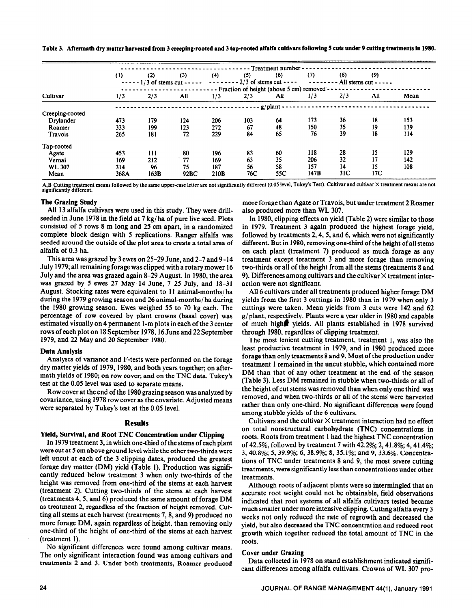Table 3. Aftermath dry matter harvested **from 3 creeping-rooted and 3 tap-rooted alfalfa cultivars following 5 cuts under 9 cutting treatments in 1980.** 

|                 | - Treatment number -                                  |      |                                             |      |                               |     |      |                 |                               |      |  |  |
|-----------------|-------------------------------------------------------|------|---------------------------------------------|------|-------------------------------|-----|------|-----------------|-------------------------------|------|--|--|
|                 | (1)                                                   | (2)  | (3)                                         | (4)  | (5)                           | (6) | (7)  | (8)             | (9)                           |      |  |  |
|                 |                                                       |      | $\cdots$ - - - - 1/3 of stems cut - - - - - |      | $------2/3$ of stems cut ---- |     |      |                 | $--- - -$ All stems cut $---$ |      |  |  |
|                 | - - Fraction of height (above 5 cm) removed - $\cdot$ |      |                                             |      |                               |     |      |                 |                               |      |  |  |
| Cultivar        | 1/3                                                   | 2/3  | All                                         | 1/3  | 2/3                           | All | 1/3  | 2/3             | All                           | Mean |  |  |
|                 | $g$ /plant $\cdot$                                    |      |                                             |      |                               |     |      |                 |                               |      |  |  |
| Creeping-rooted |                                                       |      |                                             |      |                               |     |      |                 |                               |      |  |  |
| Drylander       | 473                                                   | 179  | 124                                         | 206  | 103                           | 64  | 173  | 36              | 18                            | 153  |  |  |
| Roamer          | 333                                                   | 199  | 123                                         | 272  | 67                            | 48  | 150  | 35              | 19                            | 139  |  |  |
| Travois         | 265                                                   | 181  | 72                                          | 229  | 84                            | 65  | 76   | 39              | 18                            | 114  |  |  |
| Tap-rooted      |                                                       |      |                                             |      |                               |     |      |                 |                               |      |  |  |
| Agate           | 453                                                   | 111  | 80                                          | 196  | 83                            | 60  | 118  | 28              | 15                            | 129  |  |  |
| Vernal          | 169                                                   | 212  | 77                                          | 169  | 63                            | 35  | 206  | 32              | 17                            | 142  |  |  |
| WL 307          | 314                                                   | 96   | 75                                          | 187  | 56                            | 58  | 157  | 14              | 15                            | 108  |  |  |
| Mean            | 368A                                                  | 163B | 92BC                                        | 210B | 76C                           | 55C | 147B | 31 <sup>C</sup> | 17 <sub>C</sub>               |      |  |  |

A,B Cutting treatment means followed by the same upper-case letter are not significantly different (0.05 level, Tukey's Test). Cultivar and cultivar × treatment means are not<br>significantly different.

## **The Grazing Study**

All 13 alfalfa cultivars were used in this study. They were drillseeded in June 1978 in the field at 7 kg/ ha of pure live seed. Plots consisted of 5 rows 8 m long and 25 cm apart, in a randomized complete block design with 5 replications. Ranger alfalfa was seeded around the outside of the plot area to create a total area of alfalfa of 0.3 ha.

This area was grazed by 3 ewes on 25-29 June, and 2-7 and 9- 14 July 1979; all remaining forage was clipped with a rotary mower 16 July and the area was grazed again 8-29 August. In 1980, the area was grazed by 5 ewes 27 May-14 June, 7-25 July, and 18-31 August. Stocking rates were equivalent to 11 animal-months/ ha during the 1979 growing season and 26 animal-months/ ha during the 1980 growing season. Ewes weighed 55 to 70 kg each. The percentage of row covered by plant crowns (basal cover) was estimated visually on 4 permanent l-m plots in each of the 3 center rows of each plot on 18 September 1978,16 June and 22 September 1979, and 22 May and 20 September 1980.

## Data **Analysis**

Analyses of variance and F-tests were performed on the forage dry matter yields of 1979, 1980, and both years together; on aftermath yields of 1980; on row cover; and on the TNC data. Tukey's test at the 0.05 level was used to separate means.

Row cover at the end of the 1980 grazing season was analyzed by covariance, using 1978 row cover as the covariate. Adjusted means were separated by Tukey's test at the 0.05 level.

## **Results**

## **Yield, Survival, and Root TNC Concentration under Clipping**

In 1979 treatment 3, in which one-third of the stems of each plant were cut at 5 cm above ground level while the other two-thirds were left uncut at each of the 3 clipping dates, produced the greatest forage dry matter (DM) yield (Table I). Production was significantly reduced below treatment 3 when only two-thirds of the height was removed from one-third of the stems at each harvest (treatment 2). Cutting two-thirds of the stems at each harvest (treatments 4,5, and 6) produced the same amount of forage DM as treatment 2, regardless of the fraction of height removed. Cutting all stems at each harvest (treatments 7,8, and 9) produced no more forage DM, again regardless of height, than removing only one-third of the height of one-third of the stems at each harvest (treatment 1).

No significant differences were found among cultivar means. The only significant interaction found was among cultivars and treatments 2 and 3. Under both treatments, Roamer produced more forage than Agate or Travois, but under treatment 2 Roamer also produced more than WL 307.

In 1980, clipping effects on yield (Table 2) were similar to those in 1979. Treatment 3 again produced the highest forage yield, followed by treatments 2,4,5, and 6, which were not significantly different. But in 1980, removing one-third of the height of all stems on each plant (treatment 7) produced as much forage as any treatment except treatment 3 and more forage than removing two-thirds or all of the height from all the stems (treatments 8 and 9). Differences among cultivars and the cultivar  $\times$  treatment interaction were not significant.

All 6 cultivars under all treatments produced higher forage DM yields from the first 3 cuttings in 1980 than in 1979 when only 3 cuttings were taken. Mean yields from 3 cuts were 142 and 62 g/plant, respectively. Plants were a year older in 1980 and capable of much high@ yields. All plants established in 1978 survived through 1980, regardless of clipping treatment.

The most lenient cutting treatment, treatment 1, was also the least productive treatment in 1979, and in 1980 produced more forage than only treatments 8 and 9. Most of the production under treatment 1 remained in the uncut stubble, which contained more DM than that of any other treatment at the end of the season (Table 3). Less DM remained in stubble when two-thirds or all of the height of cut stems was removed than when only one third was removed, and when two-thirds or all of the stems were harvested rather than only one-third. No significant differences were found among stubble yields of the 6 cultivars.

Cultivars and the cultivar  $\times$  treatment interaction had no effect on total nonstructural carbohydrate (TNC) concentrations in roots. Roots from treatment 1 had the highest TNC concentration of 42.5%, followed by treatment 7 with 42.2%; 2,41.8%; 4,41.4%; 3,40.8%; 5, 39.9%; 6, 38.9%; 8, 35.1%; and 9, 33.6%. Concentrations of TNC under treatments 8 and 9, the most severe cutting treatments, were significantly less than concentrations under other treatments.

Although roots of adjacent plants were so intermingled that an accurate root weight could not be obtainable, field observations indicated that root systems of all alfalfa cultivars tested became much smaller under more intensive clipping. Cutting alfalfa every 3 weeks not only reduced the rate of regrowth and decreased the yield, but also decreased the TNC concentration and reduced root growth which together reduced the total amount of TNC in the roots.

## Cover under Grazing

Data collected in 1978 on stand establishment indicated significant differences among alfalfa cultivars. Crowns of WL 307 pro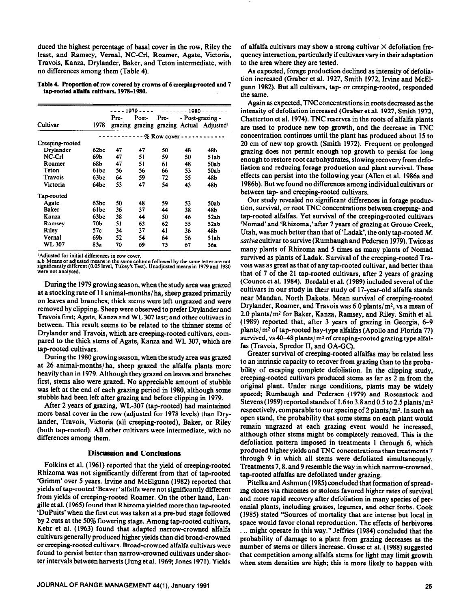duced the highest percentage of basal cover in the row, Riley the least, and Ramsey, Vernal, NC-Crl, Roamer, Agate, Victoria, Travois, Kanza, Drylander, Baker, and Teton intermediate, with no differences among them (Table 4).

**Table 4. Proportion of row covered by crowns of 6** creeping-rooted **and 7**  tap-rooted alfalfa cultivars, 1978-1980.

|                 |                    |      | - - - - 1979 - - - - | $-----1980-$ |    |                                                      |  |  |  |
|-----------------|--------------------|------|----------------------|--------------|----|------------------------------------------------------|--|--|--|
|                 |                    | Pre- | Post-                | Pre-         |    | - Post-grazing -                                     |  |  |  |
| Cultivar        | 1978               |      |                      |              |    | grazing grazing grazing Actual Adjusted <sup>1</sup> |  |  |  |
|                 | $---%$ Row cover - |      |                      |              |    |                                                      |  |  |  |
| Creeping-rooted |                    |      |                      |              |    |                                                      |  |  |  |
| Drvlander       | 62bc               | 47   | 47                   | 50           | 48 | 48b                                                  |  |  |  |
| $NC-Crl$        | 69Ь                | 47   | 51                   | 59           | 50 | 51ab                                                 |  |  |  |
| Roamer          | 68b                | 47   | 51                   | 61           | 48 | 50ab                                                 |  |  |  |
| Teton           | 61bc               | 56   | 56                   | 66           | 53 | 50ab                                                 |  |  |  |
| Travois         | 63bc               | 64   | 59                   | 72           | 55 | 48b                                                  |  |  |  |
| Victoria        | 64bc               | 53   | 47                   | 54           | 43 | 48b                                                  |  |  |  |
| Tap-rooted      |                    |      |                      |              |    |                                                      |  |  |  |
| Agate           | 63bc               | 50   | 48                   | 59           | 53 | 50ab                                                 |  |  |  |
| Baker           | 61bc               | 36   | 37                   | 44           | 38 | 48b                                                  |  |  |  |
| Kanza           | 63bc               | 38   | 44                   | 50           | 46 | 52ab                                                 |  |  |  |
| Ramsey          | 70Ь                | 51   | 63                   | 62           | 55 | 52ab                                                 |  |  |  |
| Riley           | 57c                | 34   | 37                   | 41           | 36 | 48b                                                  |  |  |  |
| Vernal          | 69b                | 52   | 54                   | 64           | 56 | 51ab                                                 |  |  |  |
| WL 307          | 83а                | 70   | 69                   | 75           | 67 | 56a                                                  |  |  |  |

**'Adjusted for initial differences in row cover. a**,b Means or adjusted means in the same column followed by the same letter are not <br>significantly different (0.05 level, Tukey's Test). Unadjusted means in 1979 and 1980 **were not analysed.** 

During the 1979 growing season, when the study area was grazed at a stocking rate of 11 animal-months/ ha, sheep grazed primarily on leaves and branches; thick stems were left ungrazed and were removed by clipping. Sheep were observed to prefer Drylander and Travois first; Agate, Kanza and WL 307 last; and other cultivars in between. This result seems to be related to the thinner stems of Drylander and Travois, which are creeping-rooted cultivars, compared to the thick stems of Agate, Kanza and WL 307, which are tap-rooted cultivars.

During the 1980 growing season, when the study area was grazed at 26 animal-months/ ha, sheep grazed the alfalfa plants more heavily than in 1979. Although they grazed on leaves and branches first, stems also were grazed. No appreciable amount of stubble was left at the end of each grazing period in 1980, although some stubble had been left after grazing and before clipping in 1979.

After 2 years of grazing, WL-307 (tap-rooted) had maintained more basal cover in the row (adjusted for 1978 levels) than Drylander, Travois, Victoria (all creeping-rooted), Baker, or Riley (both tap-rooted). All other cultivars were intermediate, with no differences among them.

## **Discussion and Conclusions**

Folkins et al. (1961) reported that the yield of creeping-rooted Rhizoma was not significantly different from that of tap-rooted 'Grimm' over 5 years. Irvine and McElgunn (1982) reported that yields of tap-rooted 'Beaver'alfalfa were not significantly different from yields of creeping-rooted Roamer. On the other hand, Langille et al. (1965) found that Rhizoma yielded more than tap-rooted 'DuPuits' when the first cut was taken at a pre-bud stage followed by 2 cuts at the 50% flowering stage. Among tap-rooted cultivars, Kehr et al. (1963) found that adapted narrow-crowned alfalfa cultivars generally produced higher yields than did broad-crowned or creeping-rooted cultivars. Broad-crowned alfalfa cultivars were found to persist better than narrow-crowned cultivars under shorter intervals between harvests (Jung et al. 1969; Jones 1971). Yields

**JOURNAL OF RANGE MANAGEMENT 44(1), January 1991** 25

of alfalfa cultivars may show a strong cultivar  $\times$  defoliation frequency interaction, particularly if **cultivars** vary in their adaptation to the area where they are tested.

As expected, forage production declined as intensity of defoliation increased (Graber et al. 1927, Smith 1972, Irvine and McElgunn 1982). But all cultivars, tap- or creeping-rooted, responded the same.

Again as expected, TNC concentrations in roots decreased as the intensity of defoliation increased (Graber et al. 1927, Smith 1972, Chatterton et al. 1974). TNC reserves in the roots of alfalfa plants are used to produce new top growth, and the decrease in TNC concentration continues until the plant has produced about 15 to 20 cm of new top growth (Smith 1972). Frequent or prolonged grazing does not permit enough top growth to persist for long enough to restore root carbohydrates, slowing recovery from defoliation and reducing forage production and plant survival. These effects can persist into the following year (Allen et al. 1986a and 1986b). But we found no differences among individual cultivars or between tap- and creeping-rooted cultivars.

Our study revealed no significant differences in forage production, survival, or root TNC concentrations between creeping- and tap-rooted alfalfas. Yet survival of the creeping-rooted cultivars 'Nomad' and 'Rhizoma,'after 7 years of grazing at Grouse Creek, Utah, was much better than that of 'Ladak', the only tap-rooted M. *sutiva* cultivar to survive (Rumbaugh and Pedersen 1979). Twice as many plants of Rhizoma and 5 iimes as many plants of Nomad survived as plants of Ladak. Survival of the creeping-rooted Travois was as great as that of any tap-rooted cultivar, and better than that of 7 of the 21 tap-rooted cultivars, after 2 years of grazing (Counce et al. 1984). Berdahl et al. (1989) included several of the cultivars in our study in their study of 17-year-old alfalfa stands near Mandan, North Dakota. Mean survival of creeping-rooted Drylander, Roamer, and Travois was 6.0 plants/m<sup>2</sup>, vs a mean of 2.0 plants/m<sup>2</sup> for Baker, Kanza, Ramsey, and Riley. Smith et al. (1989) reported that, after 3 years of grazing in Georgia, 6-9 plants/ m2 of tap-roqted hay-type alfalfas (Apollo and Florida 77) survived, vs 40-48 plants/ $m^2$  of creeping-rooted grazing type alfalfas (Travois, Spredor II, and GA-GC).

Greater survival qf creeping-rooted alfalfas may be related less to an intrinsic capacity to recover from grazing than to the probability of escaping omplete defoliation. In the clipping study, creeping-rooted cultivars produced stems as far as 2 m from the original plant. Under range conditions, plants may be widely spaced; Rumbaugh and Pedersen (1979) and Rosenstock and Stevens (1989) reported stands of 1.6 to 3.8 and 0.5 to 2.5 plants/ m2 respectively, comparable to our spacing of 2 plants/ $m^2$ . In such an open stand, the probability that some stems on each plant would remain ungrazed at each grazing event would be increased, although other stems might be completely removed. This is the defoliation pattern imposed in treatments 1 through 6, which produced higher yields and TNC concentrations than treatments 7 through 9 in which all stems were defoliated simultaneously. Treatments 7, 8, and 9 resemble the way in which narrow-crowned, tap-rooted alfalfas are defoliated under grazing.

Pitelka and Ashmun (1985) concluded that formation of spreading clones via rhizomes or stolons favored higher rates of survival and more rapid recovery after defoliation in many species of perennial plants, including grasses, legumes, and other forbs. Cook (1985) stated "Sources of mortality that are intense but local in space would favor clonal reproduction. The effects of herbivores . . . might operate in this way." Jeffries (1984) concluded that the probability of damage to a plant from grazing decreases as the number of stems or tillers increase. Gosse et al. (1988) suggested that competition among alfalfa stems for light may limit growth when stem densities are high; this is more likely to happen with